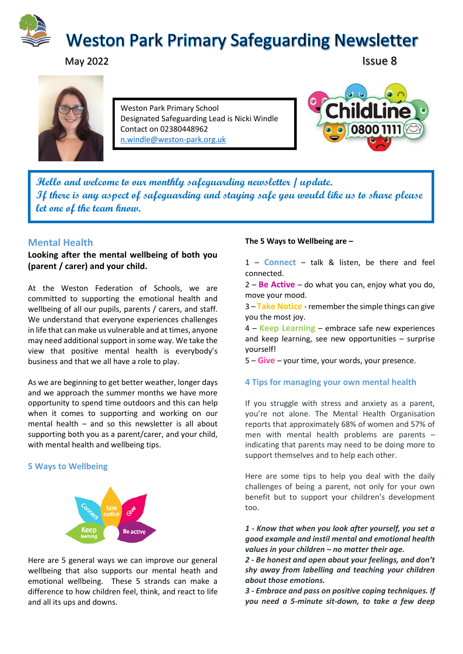

# May 2022 **Issue 8**



Weston Park Primary School Designated Safeguarding Lead is Nicki Windle Contact on 02380448962 [n.windle@weston-park.org.uk](mailto:n.windle@weston-park.org.uk)



**Hello and welcome to our monthly safeguarding newsletter / update. If there is any aspect of safeguarding and staying safe you would like us to share please let one of the team know.** 

# **Mental Health**

# **Looking after the mental wellbeing of both you (parent / carer) and your child.**

At the Weston Federation of Schools, we are committed to supporting the emotional health and wellbeing of all our pupils, parents / carers, and staff. We understand that everyone experiences challenges in life that can make us vulnerable and at times, anyone may need additional support in some way. We take the view that positive mental health is everybody's business and that we all have a role to play.

As we are beginning to get better weather, longer days and we approach the summer months we have more opportunity to spend time outdoors and this can help when it comes to supporting and working on our mental health – and so this newsletter is all about supporting both you as a parent/carer, and your child, with mental health and wellbeing tips.

### **5 Ways to Wellbeing**



Here are 5 general ways we can improve our general wellbeing that also supports our mental heath and emotional wellbeing. These 5 strands can make a difference to how children feel, think, and react to life and all its ups and downs.

### **The 5 Ways to Wellbeing are –**

1 – **Connect** – talk & listen, be there and feel connected.

2 – **Be Active** – do what you can, enjoy what you do, move your mood.

3 – **Take Notice** -remember the simple things can give you the most joy.

4 – **Keep Learning** – embrace safe new experiences and keep learning, see new opportunities – surprise yourself!

5 – **Give** – your time, your words, your presence.

### **4 Tips for managing your own mental health**

If you struggle with stress and anxiety as a parent, you're not alone. The Mental Health Organisation reports that approximately 68% of women and 57% of men with mental health problems are parents – indicating that parents may need to be doing more to support themselves and to help each other.

Here are some tips to help you deal with the daily challenges of being a parent, not only for your own benefit but to support your children's development too.

*1 - Know that when you look after yourself, you set a good example and instil mental and emotional health values in your children – no matter their age.*

*2 - Be honest and open about your feelings, and don't shy away from labelling and teaching your children about those emotions.*

*3 - Embrace and pass on positive coping techniques. If you need a 5-minute sit-down, to take a few deep*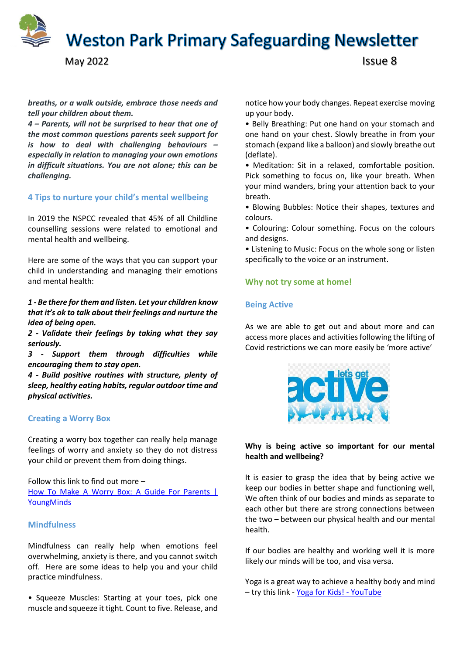**Weston Park Primary Safeguarding Newsletter** 

```
May 2022 Issue 8
```
*breaths, or a walk outside, embrace those needs and tell your children about them.*

*4 – Parents, will not be surprised to hear that one of the most common questions parents seek support for is how to deal with challenging behaviours – especially in relation to managing your own emotions in difficult situations. You are not alone; this can be challenging.* 

# **4 Tips to nurture your child's mental wellbeing**

In 2019 the NSPCC revealed that 45% of all Childline counselling sessions were related to emotional and mental health and wellbeing.

Here are some of the ways that you can support your child in understanding and managing their emotions and mental health:

*1 - Be there for them and listen. Let your children know that it's ok to talk about their feelings and nurture the idea of being open.* 

*2 - Validate their feelings by taking what they say seriously.* 

*3 - Support them through difficulties while encouraging them to stay open.*

*4 - Build positive routines with structure, plenty of sleep, healthy eating habits, regular outdoor time and physical activities.*

### **Creating a Worry Box**

Creating a worry box together can really help manage feelings of worry and anxiety so they do not distress your child or prevent them from doing things.

Follow this link to find out more – [How To Make A Worry Box: A Guide For Parents |](https://www.youngminds.org.uk/parent/blog/how-to-make-a-worry-box-a-guide-for-parents/)  [YoungMinds](https://www.youngminds.org.uk/parent/blog/how-to-make-a-worry-box-a-guide-for-parents/)

### **Mindfulness**

Mindfulness can really help when emotions feel overwhelming, anxiety is there, and you cannot switch off. Here are some ideas to help you and your child practice mindfulness.

• Squeeze Muscles: Starting at your toes, pick one muscle and squeeze it tight. Count to five. Release, and notice how your body changes. Repeat exercise moving up your body.

• Belly Breathing: Put one hand on your stomach and one hand on your chest. Slowly breathe in from your stomach (expand like a balloon) and slowly breathe out (deflate).

• Meditation: Sit in a relaxed, comfortable position. Pick something to focus on, like your breath. When your mind wanders, bring your attention back to your breath.

• Blowing Bubbles: Notice their shapes, textures and colours.

• Colouring: Colour something. Focus on the colours and designs.

• Listening to Music: Focus on the whole song or listen specifically to the voice or an instrument.

### **Why not try some at home!**

### **Being Active**

As we are able to get out and about more and can access more places and activities following the lifting of Covid restrictions we can more easily be 'more active'



### **Why is being active so important for our mental health and wellbeing?**

It is easier to grasp the idea that by being active we keep our bodies in better shape and functioning well, We often think of our bodies and minds as separate to each other but there are strong connections between the two – between our physical health and our mental health.

If our bodies are healthy and working well it is more likely our minds will be too, and visa versa.

Yoga is a great way to achieve a healthy body and mind – try this link - [Yoga for Kids! -](https://www.youtube.com/watch?v=X655B4ISakg) YouTube